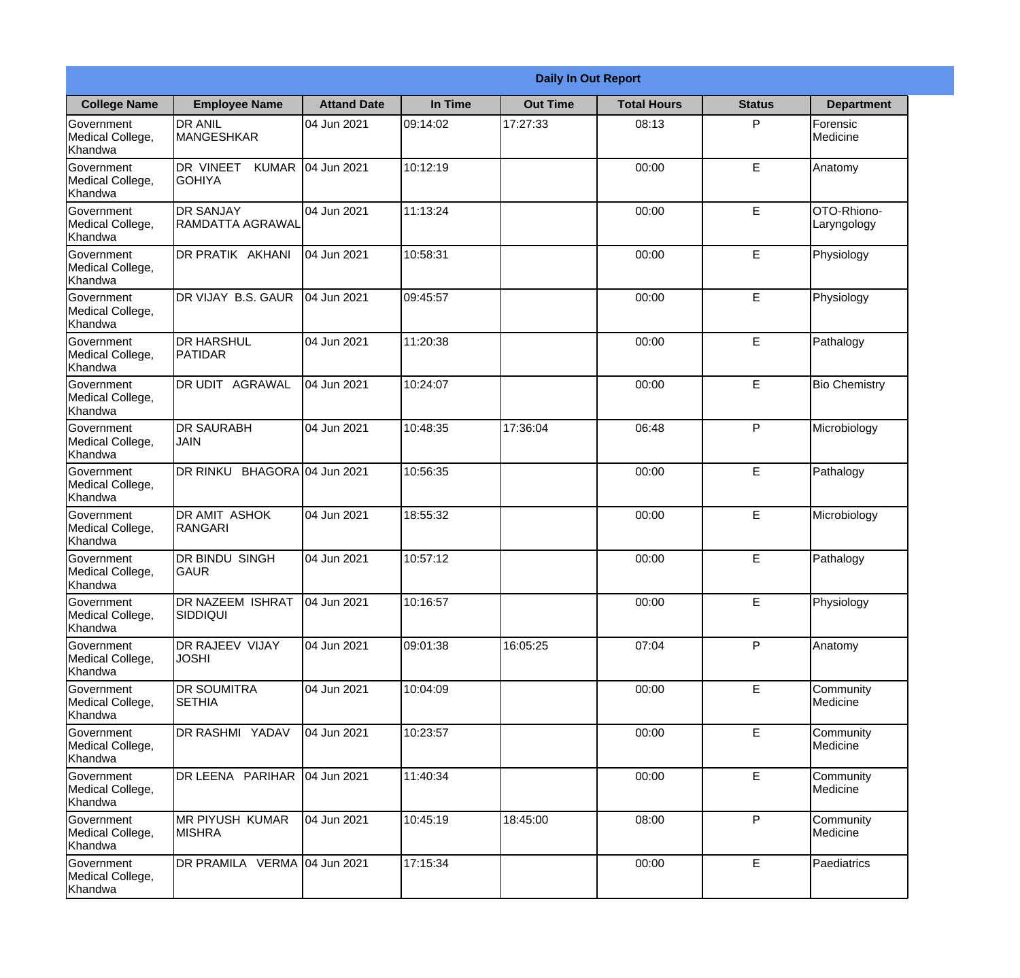|                                           |                                             | <b>Daily In Out Report</b> |          |                 |                    |               |                            |  |  |
|-------------------------------------------|---------------------------------------------|----------------------------|----------|-----------------|--------------------|---------------|----------------------------|--|--|
| <b>College Name</b>                       | <b>Employee Name</b>                        | <b>Attand Date</b>         | In Time  | <b>Out Time</b> | <b>Total Hours</b> | <b>Status</b> | <b>Department</b>          |  |  |
| Government<br>Medical College,<br>Khandwa | <b>DR ANIL</b><br><b>MANGESHKAR</b>         | 04 Jun 2021                | 09:14:02 | 17:27:33        | 08:13              | P             | Forensic<br>Medicine       |  |  |
| Government<br>Medical College,<br>Khandwa | DR VINEET<br><b>KUMAR</b><br><b>GOHIYA</b>  | 04 Jun 2021                | 10:12:19 |                 | 00:00              | E             | Anatomy                    |  |  |
| Government<br>Medical College,<br>Khandwa | <b>DR SANJAY</b><br><b>RAMDATTA AGRAWAL</b> | 04 Jun 2021                | 11:13:24 |                 | 00:00              | E             | OTO-Rhiono-<br>Laryngology |  |  |
| Government<br>Medical College,<br>Khandwa | DR PRATIK AKHANI                            | 04 Jun 2021                | 10:58:31 |                 | 00:00              | E             | Physiology                 |  |  |
| Government<br>Medical College,<br>Khandwa | DR VIJAY B.S. GAUR                          | 04 Jun 2021                | 09:45:57 |                 | 00:00              | E             | Physiology                 |  |  |
| Government<br>Medical College,<br>Khandwa | <b>DR HARSHUL</b><br>PATIDAR                | 04 Jun 2021                | 11:20:38 |                 | 00:00              | E             | Pathalogy                  |  |  |
| Government<br>Medical College,<br>Khandwa | DR UDIT AGRAWAL                             | 04 Jun 2021                | 10:24:07 |                 | 00:00              | E             | <b>Bio Chemistry</b>       |  |  |
| Government<br>Medical College,<br>Khandwa | <b>DR SAURABH</b><br>JAIN                   | 04 Jun 2021                | 10:48:35 | 17:36:04        | 06:48              | P             | Microbiology               |  |  |
| Government<br>Medical College,<br>Khandwa | DR RINKU                                    | BHAGORA 04 Jun 2021        | 10:56:35 |                 | 00:00              | E             | Pathalogy                  |  |  |
| Government<br>Medical College,<br>Khandwa | <b>DR AMIT ASHOK</b><br><b>RANGARI</b>      | 04 Jun 2021                | 18:55:32 |                 | 00:00              | E             | Microbiology               |  |  |
| Government<br>Medical College,<br>Khandwa | DR BINDU SINGH<br><b>GAUR</b>               | 04 Jun 2021                | 10:57:12 |                 | 00:00              | E             | Pathalogy                  |  |  |
| Government<br>Medical College,<br>Khandwa | <b>DR NAZEEM ISHRAT</b><br><b>SIDDIQUI</b>  | 04 Jun 2021                | 10:16:57 |                 | 00:00              | E             | Physiology                 |  |  |
| Government<br>Medical College,<br>Khandwa | DR RAJEEV VIJAY<br><b>JOSHI</b>             | 04 Jun 2021                | 09:01:38 | 16:05:25        | 07:04              | P             | Anatomy                    |  |  |
| Government<br>Medical College,<br>Khandwa | DR SOUMITRA<br><b>SETHIA</b>                | 04 Jun 2021                | 10:04:09 |                 | 00:00              | E             | Community<br>Medicine      |  |  |
| Government<br>Medical College,<br>Khandwa | DR RASHMI YADAV                             | 04 Jun 2021                | 10:23:57 |                 | 00:00              | E             | Community<br>Medicine      |  |  |
| Government<br>Medical College,<br>Khandwa | DR LEENA PARIHAR                            | 04 Jun 2021                | 11:40:34 |                 | 00:00              | E             | Community<br>Medicine      |  |  |
| Government<br>Medical College,<br>Khandwa | <b>MR PIYUSH KUMAR</b><br><b>MISHRA</b>     | 04 Jun 2021                | 10:45:19 | 18:45:00        | 08:00              | P             | Community<br>Medicine      |  |  |
| Government<br>Medical College,<br>Khandwa | DR PRAMILA VERMA 04 Jun 2021                |                            | 17:15:34 |                 | 00:00              | E             | Paediatrics                |  |  |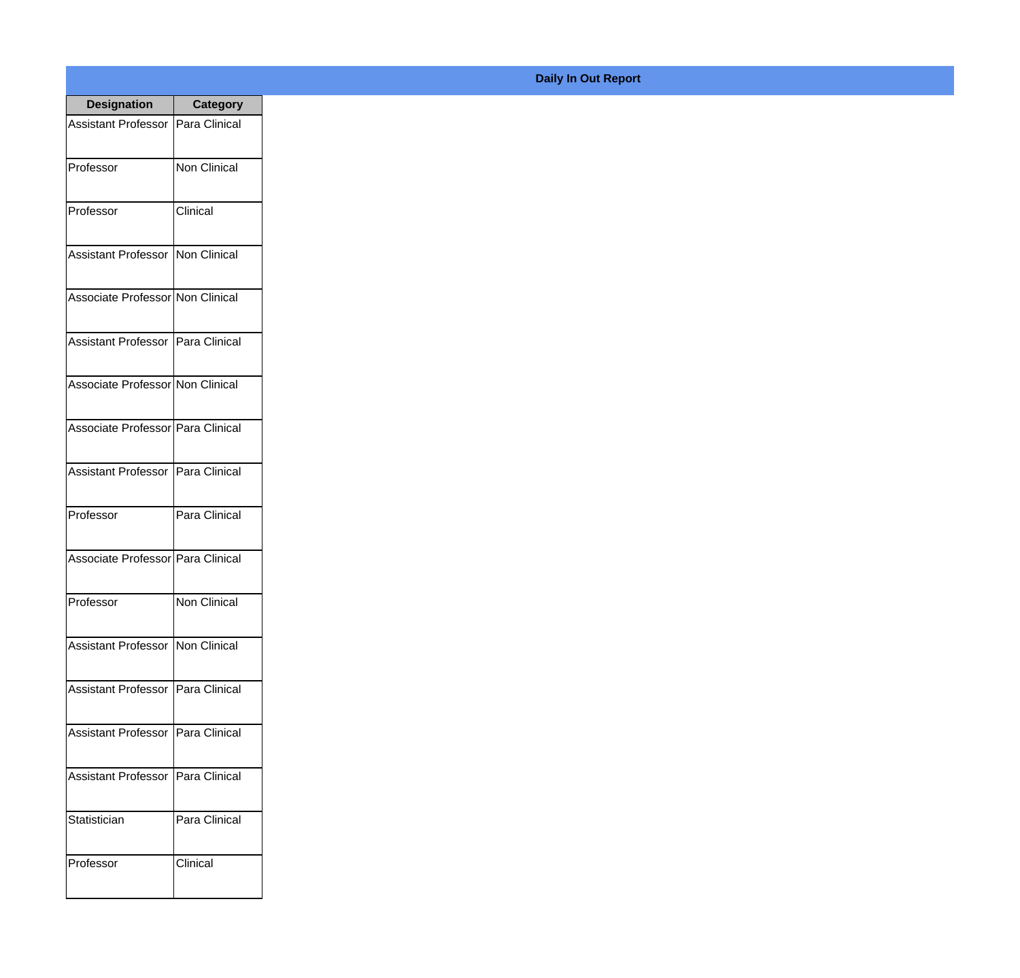| <b>Designation</b>                  | <b>Category</b>     |
|-------------------------------------|---------------------|
| <b>Assistant Professor</b>          | Para Clinical       |
| Professor                           | <b>Non Clinical</b> |
| Professor                           | Clinical            |
| <b>Assistant Professor</b>          | Non Clinical        |
| Associate Professor Non Clinical    |                     |
| Assistant Professor   Para Clinical |                     |
| Associate Professor Non Clinical    |                     |
| Associate Professor Para Clinical   |                     |
| Assistant Professor   Para Clinical |                     |
| Professor                           | Para Clinical       |
| Associate Professor Para Clinical   |                     |
| Professor                           | Non Clinical        |
| <b>Assistant Professor</b>          | Non Clinical        |
| <b>Assistant Professor</b>          | Para Clinical       |
| <b>Assistant Professor</b>          | Para Clinical       |
| <b>Assistant Professor</b>          | Para Clinical       |
| Statistician                        | Para Clinical       |
| Professor                           | Clinical            |

## **Daily In Out Report**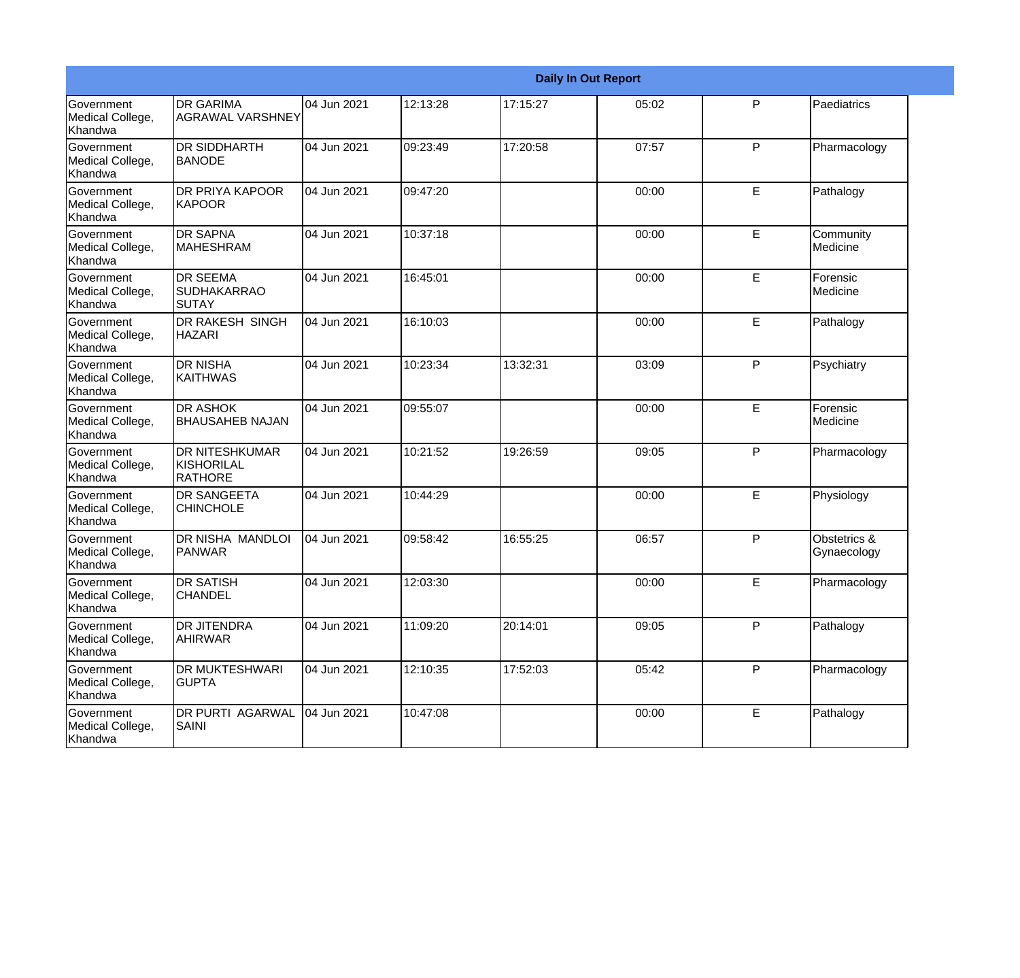|                                                  | <b>Daily In Out Report</b>                            |             |          |          |       |   |                             |  |
|--------------------------------------------------|-------------------------------------------------------|-------------|----------|----------|-------|---|-----------------------------|--|
| Government<br>Medical College,<br>Khandwa        | <b>DR GARIMA</b><br><b>AGRAWAL VARSHNEY</b>           | 04 Jun 2021 | 12:13:28 | 17:15:27 | 05:02 | P | Paediatrics                 |  |
| Government<br>Medical College,<br>Khandwa        | <b>DR SIDDHARTH</b><br><b>BANODE</b>                  | 04 Jun 2021 | 09:23:49 | 17:20:58 | 07:57 | P | Pharmacology                |  |
| <b>Government</b><br>Medical College,<br>Khandwa | <b>DR PRIYA KAPOOR</b><br>KAPOOR                      | 04 Jun 2021 | 09:47:20 |          | 00:00 | E | Pathalogy                   |  |
| Government<br>Medical College,<br>Khandwa        | <b>DR SAPNA</b><br><b>MAHESHRAM</b>                   | 04 Jun 2021 | 10:37:18 |          | 00:00 | E | Community<br>Medicine       |  |
| Government<br>Medical College,<br>Khandwa        | <b>DR SEEMA</b><br><b>SUDHAKARRAO</b><br>SUTAY        | 04 Jun 2021 | 16:45:01 |          | 00:00 | E | Forensic<br>Medicine        |  |
| Government<br>Medical College,<br><b>Khandwa</b> | DR RAKESH SINGH<br><b>HAZARI</b>                      | 04 Jun 2021 | 16:10:03 |          | 00:00 | E | Pathalogy                   |  |
| Government<br>Medical College,<br>Khandwa        | <b>DR NISHA</b><br>KAITHWAS                           | 04 Jun 2021 | 10:23:34 | 13:32:31 | 03:09 | P | Psychiatry                  |  |
| Government<br>Medical College,<br>Khandwa        | <b>DR ASHOK</b><br><b>BHAUSAHEB NAJAN</b>             | 04 Jun 2021 | 09:55:07 |          | 00:00 | E | Forensic<br>Medicine        |  |
| Government<br>Medical College,<br>Khandwa        | <b>DR NITESHKUMAR</b><br>KISHORILAL<br><b>RATHORE</b> | 04 Jun 2021 | 10:21:52 | 19:26:59 | 09:05 | P | Pharmacology                |  |
| Government<br>Medical College,<br>Khandwa        | <b>DR SANGEETA</b><br><b>CHINCHOLE</b>                | 04 Jun 2021 | 10:44:29 |          | 00:00 | E | Physiology                  |  |
| <b>Government</b><br>Medical College,<br>Khandwa | <b>DR NISHA MANDLOI</b><br>PANWAR                     | 04 Jun 2021 | 09:58:42 | 16:55:25 | 06:57 | P | Obstetrics &<br>Gynaecology |  |
| Government<br>Medical College,<br>Khandwa        | <b>DR SATISH</b><br><b>CHANDEL</b>                    | 04 Jun 2021 | 12:03:30 |          | 00:00 | Е | Pharmacology                |  |
| Government<br>Medical College,<br>Khandwa        | <b>DR JITENDRA</b><br><b>AHIRWAR</b>                  | 04 Jun 2021 | 11:09:20 | 20:14:01 | 09:05 | P | Pathalogy                   |  |
| Government<br>Medical College,<br>Khandwa        | <b>DR MUKTESHWARI</b><br><b>GUPTA</b>                 | 04 Jun 2021 | 12:10:35 | 17:52:03 | 05:42 | P | Pharmacology                |  |
| Government<br>Medical College,<br>Khandwa        | <b>DR PURTI AGARWAL</b><br><b>SAINI</b>               | 04 Jun 2021 | 10:47:08 |          | 00:00 | E | Pathalogy                   |  |